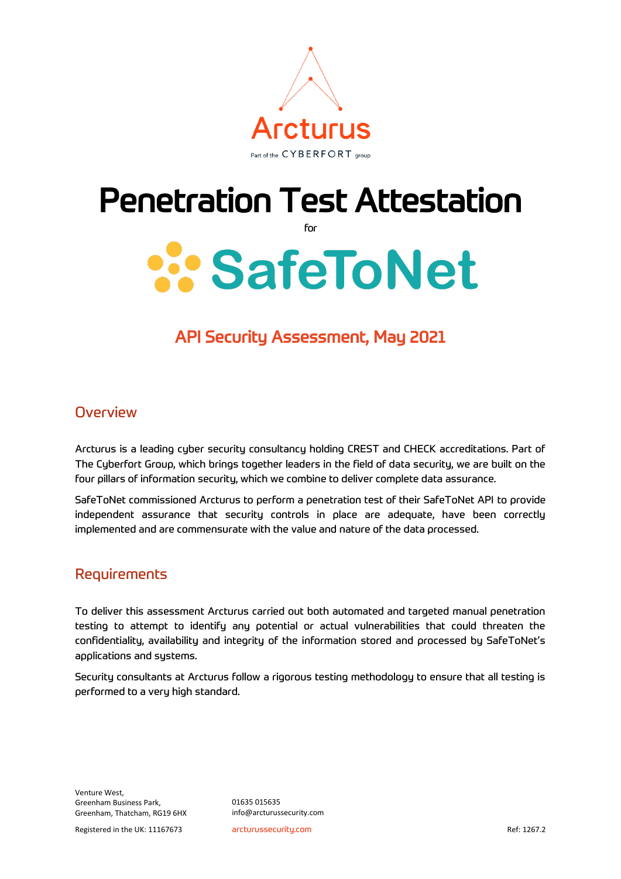

### Penetration Test Attestation

for

# **SafeToNet**

#### API Security Assessment, May 2021

#### **Overview**

Arcturus is a leading cyber security consultancy holding CREST and CHECK accreditations. Part of The Cyberfort Group, which brings together leaders in the field of data security, we are built on the four pillars of information security, which we combine to deliver complete data assurance.

SafeToNet commissioned Arcturus to perform a penetration test of their SafeToNet API to provide independent assurance that security controls in place are adequate, have been correctly implemented and are commensurate with the value and nature of the data processed.

#### Requirements

To deliver this assessment Arcturus carried out both automated and targeted manual penetration testing to attempt to identify any potential or actual vulnerabilities that could threaten the confidentiality, availability and integrity of the information stored and processed by SafeToNet's applications and systems.

Security consultants at Arcturus follow a rigorous testing methodology to ensure that all testing is performed to a very high standard.